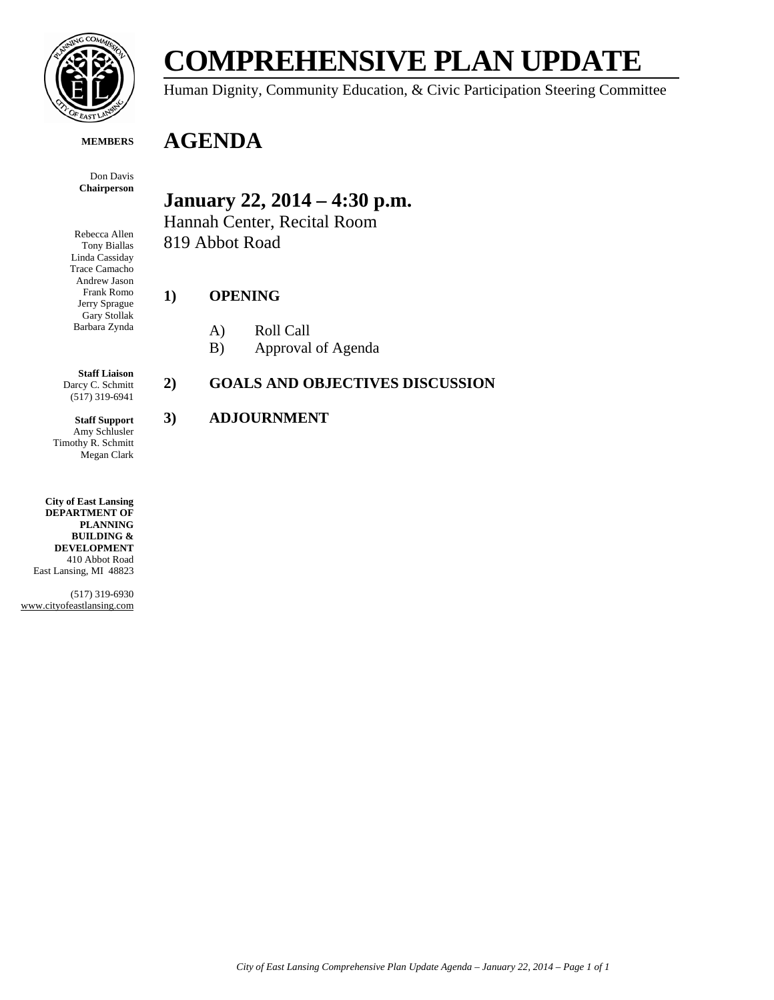

# **COMPREHENSIVE PLAN UPDATE**

Human Dignity, Community Education, & Civic Participation Steering Committee

#### **MEMBERS**

Don Davis **Chairperson**

Rebecca Allen Tony Biallas Linda Cassiday Trace Camacho Andrew Jason Frank Romo Jerry Sprague Gary Stollak Barbara Zynda **January 22, 2014 – 4:30 p.m.**

Hannah Center, Recital Room 819 Abbot Road

#### **1) OPENING**

**AGENDA**

- A) Roll Call
- B) Approval of Agenda

**Staff Liaison** Darcy C. Schmitt (517) 319-6941

**Staff Support** Amy Schlusler Timothy R. Schmitt Megan Clark

**City of East Lansing DEPARTMENT OF PLANNING BUILDING & DEVELOPMENT** 410 Abbot Road East Lansing, MI 48823

(517) 319-6930 www.cityofeastlansing.com

#### **2) GOALS AND OBJECTIVES DISCUSSION**

#### **3) ADJOURNMENT**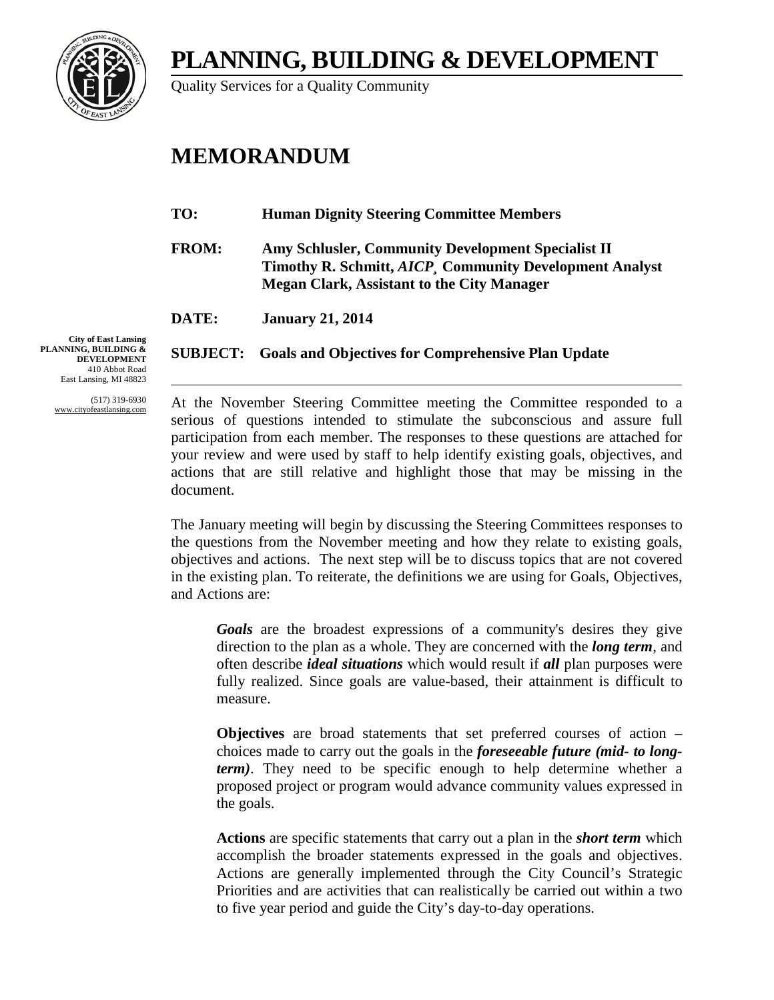**PLANNING, BUILDING & DEVELOPMENT**



Quality Services for a Quality Community

## **MEMORANDUM**

- **TO: Human Dignity Steering Committee Members**
- **FROM: Amy Schlusler, Community Development Specialist II Timothy R. Schmitt,** *AICP¸* **Community Development Analyst Megan Clark, Assistant to the City Manager**

**DATE: January 21, 2014**

**SUBJECT: Goals and Objectives for Comprehensive Plan Update**

**City of East Lansing PLANNING, BUILDING & DEVELOPMENT** 410 Abbot Road East Lansing, MI 48823

> (517) 319-6930 www.cityofeastlansing.com

At the November Steering Committee meeting the Committee responded to a serious of questions intended to stimulate the subconscious and assure full participation from each member. The responses to these questions are attached for your review and were used by staff to help identify existing goals, objectives, and actions that are still relative and highlight those that may be missing in the document.

The January meeting will begin by discussing the Steering Committees responses to the questions from the November meeting and how they relate to existing goals, objectives and actions. The next step will be to discuss topics that are not covered in the existing plan. To reiterate, the definitions we are using for Goals, Objectives, and Actions are:

*Goals* are the broadest expressions of a community's desires they give direction to the plan as a whole. They are concerned with the *long term*, and often describe *ideal situations* which would result if *all* plan purposes were fully realized. Since goals are value-based, their attainment is difficult to measure.

**Objectives** are broad statements that set preferred courses of action – choices made to carry out the goals in the *foreseeable future (mid- to longterm)*. They need to be specific enough to help determine whether a proposed project or program would advance community values expressed in the goals.

**Actions** are specific statements that carry out a plan in the *short term* which accomplish the broader statements expressed in the goals and objectives. Actions are generally implemented through the City Council's Strategic Priorities and are activities that can realistically be carried out within a two to five year period and guide the City's day-to-day operations.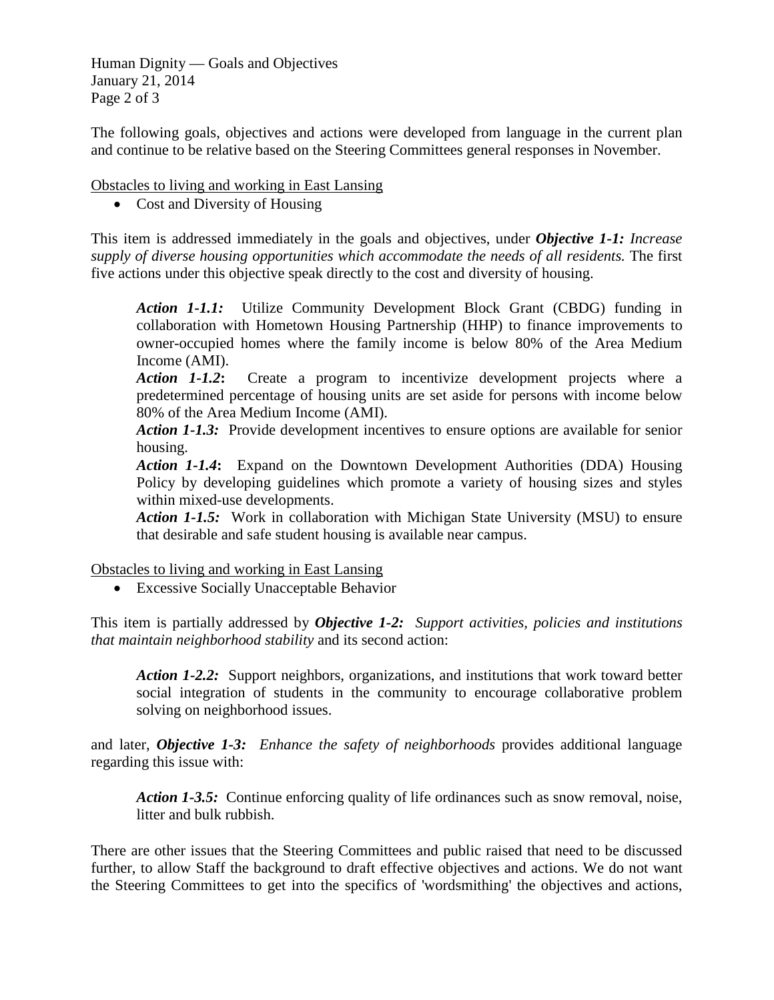Human Dignity — Goals and Objectives January 21, 2014 Page 2 of 3

The following goals, objectives and actions were developed from language in the current plan and continue to be relative based on the Steering Committees general responses in November.

Obstacles to living and working in East Lansing

• Cost and Diversity of Housing

This item is addressed immediately in the goals and objectives, under *Objective 1-1: Increase supply of diverse housing opportunities which accommodate the needs of all residents.* The first five actions under this objective speak directly to the cost and diversity of housing.

*Action 1-1.1:* Utilize Community Development Block Grant (CBDG) funding in collaboration with Hometown Housing Partnership (HHP) to finance improvements to owner-occupied homes where the family income is below 80% of the Area Medium Income (AMI).

*Action 1-1.2***:** Create a program to incentivize development projects where a predetermined percentage of housing units are set aside for persons with income below 80% of the Area Medium Income (AMI).

*Action 1-1.3:* Provide development incentives to ensure options are available for senior housing.

*Action 1-1.4***:** Expand on the Downtown Development Authorities (DDA) Housing Policy by developing guidelines which promote a variety of housing sizes and styles within mixed-use developments.

*Action 1-1.5:* Work in collaboration with Michigan State University (MSU) to ensure that desirable and safe student housing is available near campus.

Obstacles to living and working in East Lansing

• Excessive Socially Unacceptable Behavior

This item is partially addressed by *Objective 1-2: Support activities, policies and institutions that maintain neighborhood stability* and its second action:

*Action 1-2.2:* Support neighbors, organizations, and institutions that work toward better social integration of students in the community to encourage collaborative problem solving on neighborhood issues.

and later, *Objective 1-3: Enhance the safety of neighborhoods* provides additional language regarding this issue with:

*Action 1-3.5:* Continue enforcing quality of life ordinances such as snow removal, noise, litter and bulk rubbish.

There are other issues that the Steering Committees and public raised that need to be discussed further, to allow Staff the background to draft effective objectives and actions. We do not want the Steering Committees to get into the specifics of 'wordsmithing' the objectives and actions,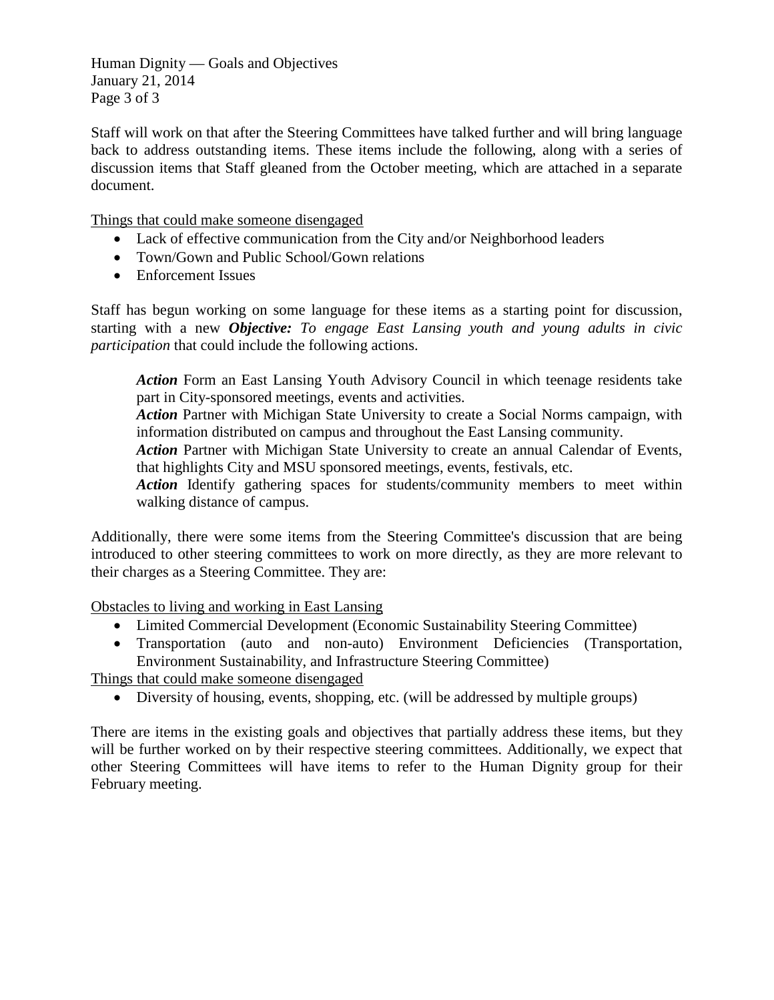Human Dignity — Goals and Objectives January 21, 2014 Page 3 of 3

Staff will work on that after the Steering Committees have talked further and will bring language back to address outstanding items. These items include the following, along with a series of discussion items that Staff gleaned from the October meeting, which are attached in a separate document.

Things that could make someone disengaged

- Lack of effective communication from the City and/or Neighborhood leaders
- Town/Gown and Public School/Gown relations
- Enforcement Issues

Staff has begun working on some language for these items as a starting point for discussion, starting with a new *Objective: To engage East Lansing youth and young adults in civic participation* that could include the following actions.

*Action* Form an East Lansing Youth Advisory Council in which teenage residents take part in City-sponsored meetings, events and activities.

*Action* Partner with Michigan State University to create a Social Norms campaign, with information distributed on campus and throughout the East Lansing community.

*Action Partner with Michigan State University to create an annual Calendar of Events,* that highlights City and MSU sponsored meetings, events, festivals, etc.

Action Identify gathering spaces for students/community members to meet within walking distance of campus.

Additionally, there were some items from the Steering Committee's discussion that are being introduced to other steering committees to work on more directly, as they are more relevant to their charges as a Steering Committee. They are:

Obstacles to living and working in East Lansing

- Limited Commercial Development (Economic Sustainability Steering Committee)
- Transportation (auto and non-auto) Environment Deficiencies (Transportation, Environment Sustainability, and Infrastructure Steering Committee)

Things that could make someone disengaged

• Diversity of housing, events, shopping, etc. (will be addressed by multiple groups)

There are items in the existing goals and objectives that partially address these items, but they will be further worked on by their respective steering committees. Additionally, we expect that other Steering Committees will have items to refer to the Human Dignity group for their February meeting.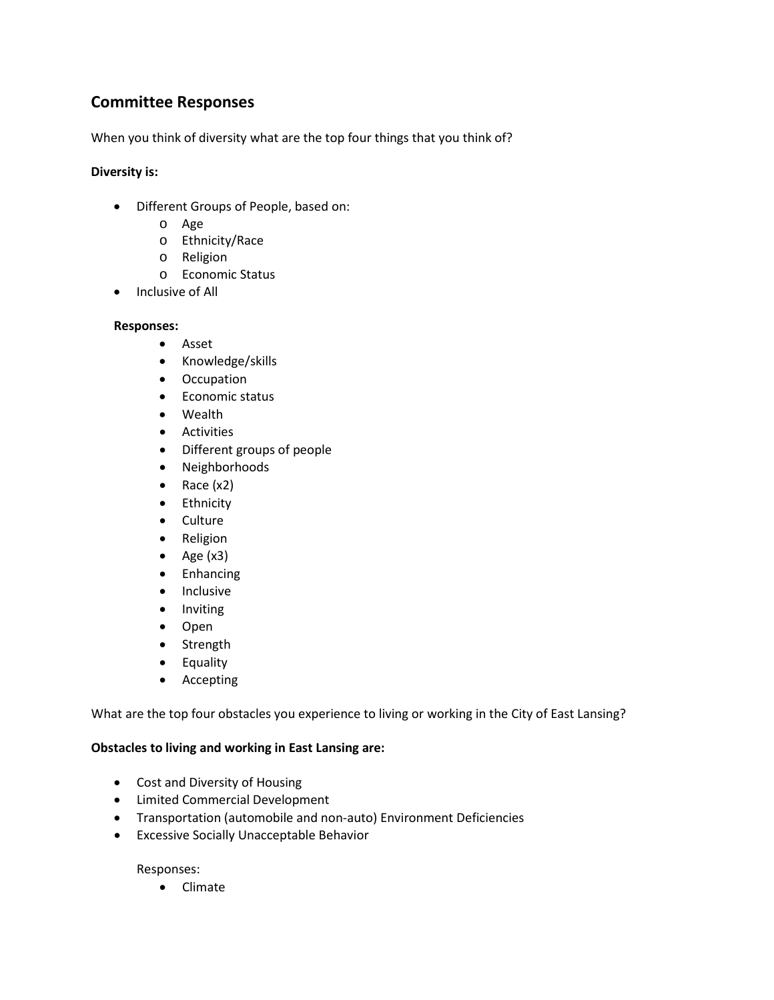### **Committee Responses**

When you think of diversity what are the top four things that you think of?

#### **Diversity is:**

- Different Groups of People, based on:
	- o Age
	- o Ethnicity/Race
	- o Religion
	- o Economic Status
- Inclusive of All

#### **Responses:**

- Asset
- Knowledge/skills
- Occupation
- Economic status
- Wealth
- Activities
- Different groups of people
- Neighborhoods
- Race (x2)
- Ethnicity
- Culture
- Religion
- Age  $(x3)$
- Enhancing
- Inclusive
- Inviting
- Open
- Strength
- Equality
- Accepting

What are the top four obstacles you experience to living or working in the City of East Lansing?

#### **Obstacles to living and working in East Lansing are:**

- Cost and Diversity of Housing
- Limited Commercial Development
- Transportation (automobile and non-auto) Environment Deficiencies
- Excessive Socially Unacceptable Behavior

Responses:

• Climate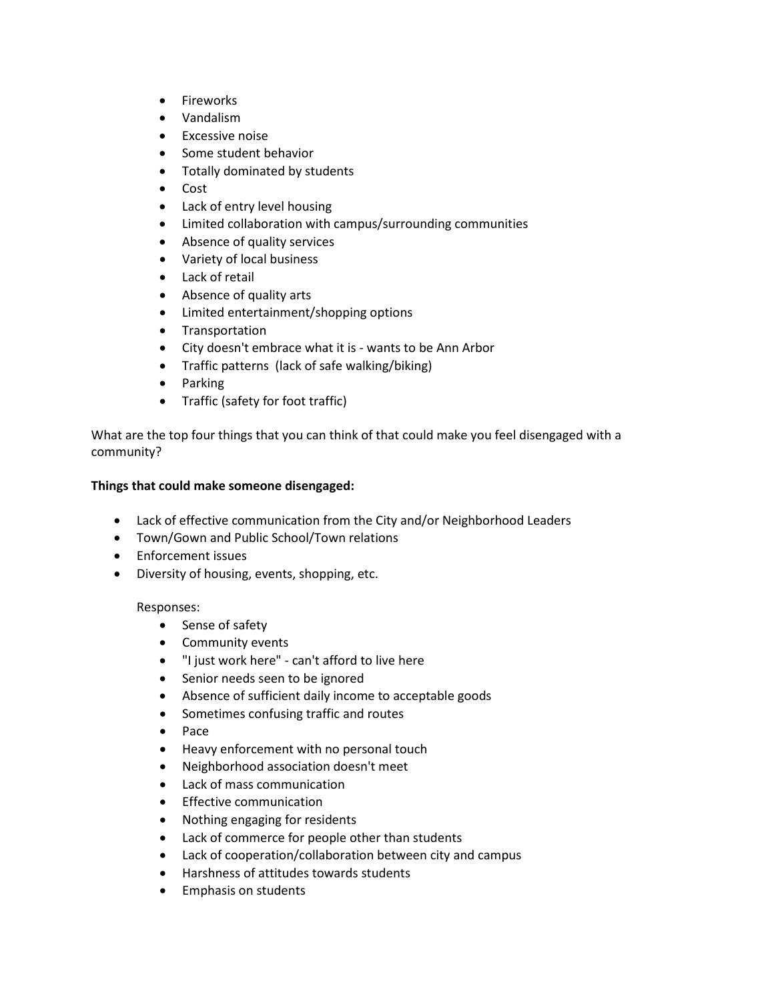- Fireworks
- Vandalism
- Excessive noise
- Some student behavior
- Totally dominated by students
- Cost
- Lack of entry level housing
- Limited collaboration with campus/surrounding communities
- Absence of quality services
- Variety of local business
- Lack of retail
- Absence of quality arts
- Limited entertainment/shopping options
- Transportation
- City doesn't embrace what it is wants to be Ann Arbor
- Traffic patterns (lack of safe walking/biking)
- Parking
- Traffic (safety for foot traffic)

What are the top four things that you can think of that could make you feel disengaged with a community?

#### **Things that could make someone disengaged:**

- Lack of effective communication from the City and/or Neighborhood Leaders
- Town/Gown and Public School/Town relations
- Enforcement issues
- Diversity of housing, events, shopping, etc.

#### Responses:

- Sense of safety
- Community events
- "I just work here" can't afford to live here
- Senior needs seen to be ignored
- Absence of sufficient daily income to acceptable goods
- Sometimes confusing traffic and routes
- Pace
- Heavy enforcement with no personal touch
- Neighborhood association doesn't meet
- Lack of mass communication
- Effective communication
- Nothing engaging for residents
- Lack of commerce for people other than students
- Lack of cooperation/collaboration between city and campus
- Harshness of attitudes towards students
- Emphasis on students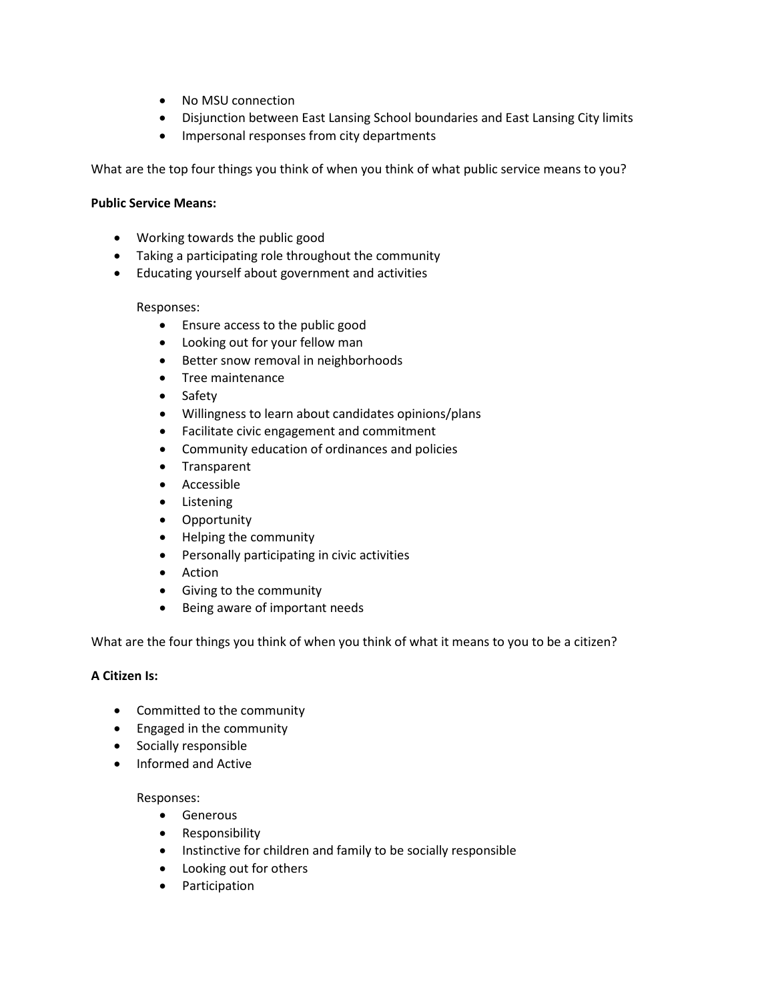- No MSU connection
- Disjunction between East Lansing School boundaries and East Lansing City limits
- Impersonal responses from city departments

What are the top four things you think of when you think of what public service means to you?

#### **Public Service Means:**

- Working towards the public good
- Taking a participating role throughout the community
- Educating yourself about government and activities

#### Responses:

- Ensure access to the public good
- Looking out for your fellow man
- Better snow removal in neighborhoods
- Tree maintenance
- Safety
- Willingness to learn about candidates opinions/plans
- Facilitate civic engagement and commitment
- Community education of ordinances and policies
- Transparent
- Accessible
- Listening
- Opportunity
- Helping the community
- Personally participating in civic activities
- Action
- Giving to the community
- Being aware of important needs

What are the four things you think of when you think of what it means to you to be a citizen?

#### **A Citizen Is:**

- Committed to the community
- Engaged in the community
- Socially responsible
- Informed and Active

#### Responses:

- Generous
- Responsibility
- Instinctive for children and family to be socially responsible
- Looking out for others
- Participation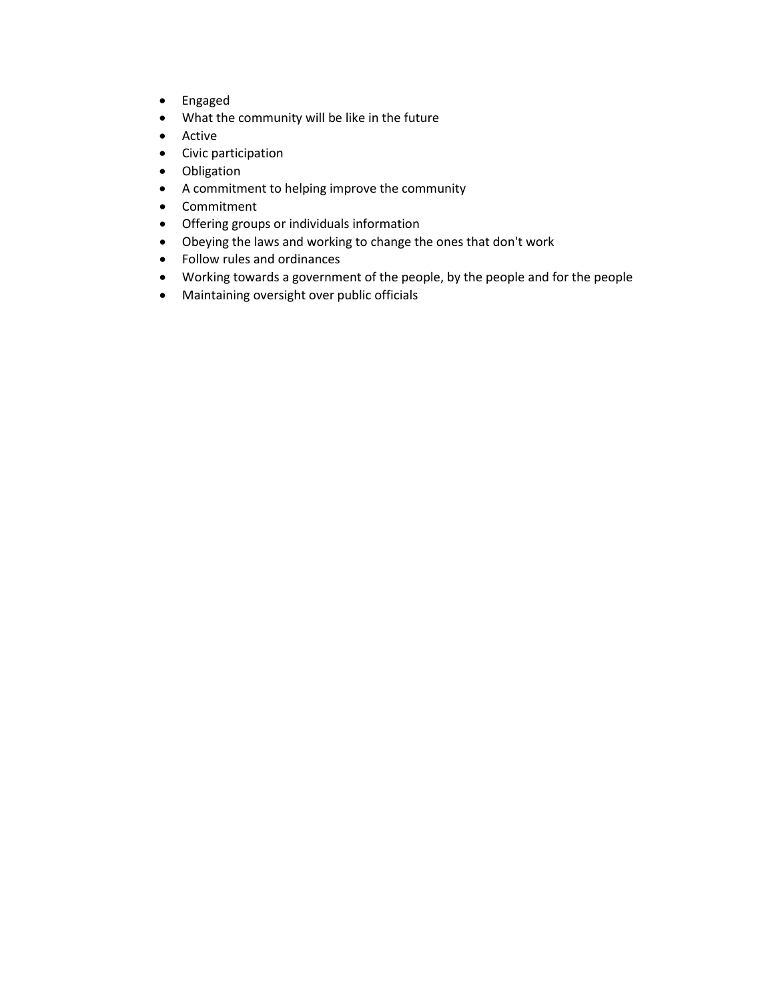- Engaged
- What the community will be like in the future
- Active
- Civic participation
- Obligation
- A commitment to helping improve the community
- Commitment
- Offering groups or individuals information
- Obeying the laws and working to change the ones that don't work
- Follow rules and ordinances
- Working towards a government of the people, by the people and for the people
- Maintaining oversight over public officials